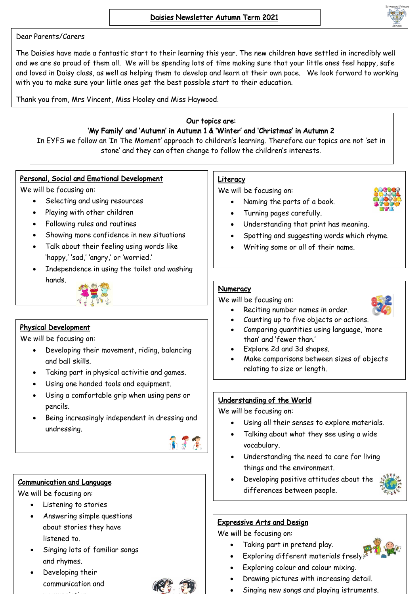

The Daisies have made a fantastic start to their learning this year. The new children have settled in incredibly well and we are so proud of them all. We will be spending lots of time making sure that your little ones feel happy, safe and loved in Daisy class, as well as helping them to develop and learn at their own pace. We look forward to working with you to make sure your liitle ones get the best possible start to their education.

Thank you from, Mrs Vincent, Miss Hooley and Miss Haywood.

### Our topics are: 'My Family' and 'Autumn' in Autumn 1 & 'Winter' and 'Christmas' in Autumn 2

In EYFS we follow an 'In The Moment' approach to children's learning. Therefore our topics are not 'set in stone' and they can often change to follow the children's interests.

### Personal, Social and Emotional Development

We will be focusing on:

- Selecting and using resources
- Playing with other children
- Following rules and routines
- Showing more confidence in new situations
- Talk about their feeling using words like 'happy,' 'sad,' 'angry,' or 'worried.'
- Independence in using the toilet and washing hands.



# Physical Development

We will be focusing on:

- Developing their movement, riding, balancing and ball skills.
- Taking part in physical activitie and games.
- Using one handed tools and equipment.
- Using a comfortable grip when using pens or pencils.
- Being increasingly independent in dressing and undressing.



# Communication and Language

We will be focusing on:

 $\overline{a}$ 

- Listening to stories
- Answering simple questions about stories they have listened to.
- Singing lots of familiar songs and rhymes.
- Developing their communication and pronunciation.



## **Literacy**

We will be focusing on:

• Naming the parts of a book.



- Turning pages carefully.
- Understanding that print has meaning.
- Spotting and suggesting words which rhyme.
- Writing some or all of their name.

# **Numeracy**

We will be focusing on:

- Reciting number names in order.
- Counting up to five objects or actions.
- Comparing quantities using language, 'more than' and 'fewer than.'
- Explore 2d and 3d shapes.
- Make comparisons between sizes of objects relating to size or length.

# Understanding of the World

We will be focusing on:

- Using all their senses to explore materials.
- Talking about what they see using a wide vocabulary.
- Understanding the need to care for living things and the environment.
- Developing positive attitudes about the differences between people.



# Expressive Arts and Design

We will be focusing on:

- Taking part in pretend play.
- Exploring different materials freely.
- Exploring colour and colour mixing.
- Drawing pictures with increasing detail.
- Singing new songs and playing istruments.